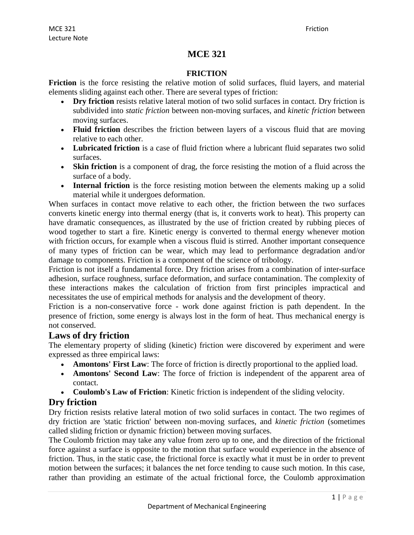# **MCE 321**

### **FRICTION**

**Friction** is the [force](https://en.wikipedia.org/wiki/Force) resisting the relative motion of solid surfaces, fluid layers, and material elements sliding against each other. There are several types of friction:

- **Dry friction** resists relative lateral motion of two solid surfaces in contact. Dry friction is subdivided into *static friction* between non-moving surfaces, and *kinetic friction* between moving surfaces.
- **Fluid friction** describes the friction between layers of a [viscous](https://en.wikipedia.org/wiki/Viscous) fluid that are moving relative to each other.
- **Lubricated friction** is a case of fluid friction where a [lubricant](https://en.wikipedia.org/wiki/Lubricant) fluid separates two solid surfaces.
- **Skin friction** is a component of [drag,](https://en.wikipedia.org/wiki/Drag_%28physics%29) the force resisting the motion of a fluid across the surface of a body.
- **Internal friction** is the force resisting motion between the elements making up a solid material while it undergoes [deformation.](https://en.wikipedia.org/wiki/Deformation_%28mechanics%29)

When surfaces in contact move relative to each other, the friction between the two surfaces converts [kinetic energy](https://en.wikipedia.org/wiki/Kinetic_energy) into [thermal energy](https://en.wikipedia.org/wiki/Thermal_energy) (that is, it converts [work](https://en.wikipedia.org/wiki/Work_%28physics%29) to [heat\)](https://en.wikipedia.org/wiki/Heat). This property can have dramatic consequences, as illustrated by the use of friction created by rubbing pieces of wood together to start a fire. Kinetic energy is converted to thermal energy whenever motion with friction occurs, for example when a [viscous](https://en.wikipedia.org/wiki/Viscous_flow) fluid is stirred. Another important consequence of many types of friction can be [wear,](https://en.wikipedia.org/wiki/Wear) which may lead to performance degradation and/or damage to components. Friction is a component of the science of [tribology.](https://en.wikipedia.org/wiki/Tribology)

Friction is not itself a [fundamental force.](https://en.wikipedia.org/wiki/Fundamental_force) Dry friction arises from a combination of inter-surface adhesion, surface roughness, surface deformation, and surface contamination. The complexity of these interactions makes the calculation of friction from [first principles](https://en.wikipedia.org/wiki/First_principle) impractical and necessitates the use of [empirical methods](https://en.wikipedia.org/wiki/Empirical_method) for analysis and the development of theory.

Friction is a [non-conservative force](https://en.wikipedia.org/wiki/Conservative_force#Nonconservative_forces) - work done against friction is path dependent. In the presence of friction, some energy is always lost in the form of heat. Thus mechanical energy is not conserved.

# **Laws of dry friction**

The elementary property of sliding (kinetic) friction were discovered by experiment and were expressed as three empirical laws:

- **[Amontons' First Law](https://en.wikipedia.org/wiki/Guillaume_Amontons#Amontons.27_Laws_of_Friction)**: The force of friction is directly proportional to the applied load.
- **Amontons' Second Law**: The force of friction is independent of the apparent area of contact.
- **Coulomb's Law of Friction**: Kinetic friction is independent of the sliding velocity.

# **Dry friction**

Dry friction resists relative lateral motion of two solid surfaces in contact. The two regimes of dry friction are 'static friction' between non-moving surfaces, and *kinetic friction* (sometimes called sliding friction or dynamic friction) between moving surfaces.

The Coulomb friction may take any value from zero up to one, and the direction of the frictional force against a surface is opposite to the motion that surface would experience in the absence of friction. Thus, in the static case, the frictional force is exactly what it must be in order to prevent motion between the surfaces; it balances the net force tending to cause such motion. In this case, rather than providing an estimate of the actual frictional force, the Coulomb approximation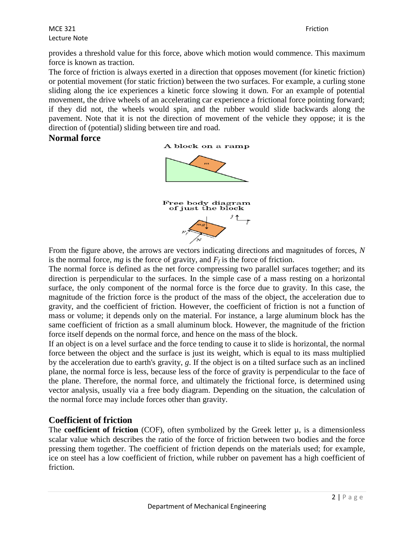provides a threshold value for this force, above which motion would commence. This maximum force is known as [traction.](https://en.wikipedia.org/wiki/Traction_%28engineering%29)

The force of friction is always exerted in a direction that opposes movement (for kinetic friction) or potential movement (for static friction) between the two surfaces. For example, a [curling](https://en.wikipedia.org/wiki/Curling) stone sliding along the ice experiences a kinetic force slowing it down. For an example of potential movement, the drive wheels of an accelerating car experience a frictional force pointing forward; if they did not, the wheels would spin, and the rubber would slide backwards along the pavement. Note that it is not the direction of movement of the vehicle they oppose; it is the direction of (potential) sliding between tire and road.

#### **Normal force**



From the figure above, the arrows are [vectors](https://en.wikipedia.org/wiki/Euclidean_vector) indicating directions and magnitudes of forces, *N* is the normal force,  $mg$  is the force of [gravity,](https://en.wikipedia.org/wiki/Gravity) and  $F_f$  is the force of friction.

The normal force is defined as the net force compressing two parallel surfaces together; and its direction is perpendicular to the surfaces. In the simple case of a mass resting on a horizontal surface, the only component of the normal force is the force due to gravity. In this case, the magnitude of the friction force is the product of the mass of the object, the acceleration due to gravity, and the coefficient of friction. However, the coefficient of friction is not a function of mass or volume; it depends only on the material. For instance, a large aluminum block has the same coefficient of friction as a small aluminum block. However, the magnitude of the friction force itself depends on the normal force, and hence on the mass of the block.

If an object is on a level surface and the force tending to cause it to slide is horizontal, the normal force between the object and the surface is just its weight, which is equal to its [mass](https://en.wikipedia.org/wiki/Mass) multiplied by the [acceleration](https://en.wikipedia.org/wiki/Acceleration) due to earth's gravity, *[g](https://en.wikipedia.org/wiki/Standard_gravity)*. If the object is on a tilted surface such as an inclined plane, the normal force is less, because less of the force of gravity is perpendicular to the face of the plane. Therefore, the normal force, and ultimately the frictional force, is determined using [vector](https://en.wikipedia.org/wiki/Vector_%28geometric%29) analysis, usually via a [free body diagram.](https://en.wikipedia.org/wiki/Free_body_diagram) Depending on the situation, the calculation of the normal force may include forces other than gravity.

### **Coefficient of friction**

The **coefficient of friction** (COF), often symbolized by the Greek letter  $\mu$ , is a [dimensionless](https://en.wikipedia.org/wiki/Dimensionless_quantity) [scalar](https://en.wikipedia.org/wiki/Scalar_%28physics%29) value which describes the ratio of the force of friction between two bodies and the force pressing them together. The coefficient of friction depends on the materials used; for example, ice on steel has a low coefficient of friction, while rubber on pavement has a high coefficient of friction.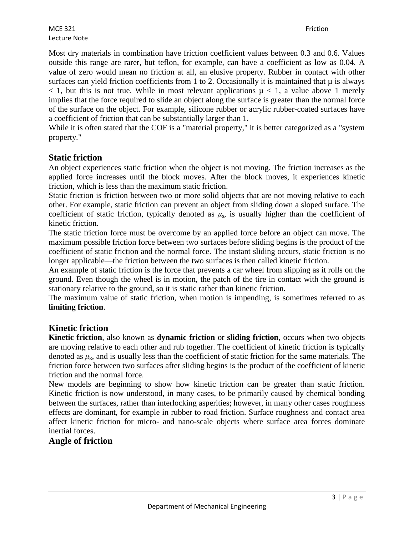Most dry materials in combination have friction coefficient values between 0.3 and 0.6. Values outside this range are rarer, but [teflon,](https://en.wikipedia.org/wiki/Polytetrafluoroethylene) for example, can have a coefficient as low as 0.04. A value of zero would mean no friction at all, an elusive property. Rubber in contact with other surfaces can yield friction coefficients from 1 to 2. Occasionally it is maintained that  $\mu$  is always  $< 1$ , but this is not true. While in most relevant applications  $\mu < 1$ , a value above 1 merely implies that the force required to slide an object along the surface is greater than the normal force of the surface on the object. For example, [silicone rubber](https://en.wikipedia.org/wiki/Silicone_rubber) or [acrylic rubber-](https://en.wikipedia.org/wiki/Acrylic_rubber)coated surfaces have a coefficient of friction that can be substantially larger than 1.

While it is often stated that the COF is a "material property," it is better categorized as a "system" property."

## **Static friction**

An object experiences static friction when the object is not moving. The friction increases as the applied force increases until the block moves. After the block moves, it experiences kinetic friction, which is less than the maximum static friction.

Static friction is friction between two or more solid objects that are not moving relative to each other. For example, static friction can prevent an object from sliding down a sloped surface. The coefficient of static friction, typically denoted as  $\mu_s$ , is usually higher than the coefficient of kinetic friction.

The static friction force must be overcome by an applied force before an object can move. The maximum possible friction force between two surfaces before sliding begins is the product of the coefficient of static friction and the normal force. The instant sliding occurs, static friction is no longer applicable—the friction between the two surfaces is then called kinetic friction.

An example of static friction is the force that prevents a car wheel from slipping as it rolls on the ground. Even though the wheel is in motion, the patch of the tire in contact with the ground is stationary relative to the ground, so it is static rather than kinetic friction.

The maximum value of static friction, when motion is impending, is sometimes referred to as **limiting friction**.

### **Kinetic friction**

**Kinetic friction**, also known as **dynamic friction** or **sliding friction**, occurs when two objects are moving relative to each other and rub together. The coefficient of kinetic friction is typically denoted as  $\mu_k$ , and is usually less than the coefficient of static friction for the same materials. The friction force between two surfaces after sliding begins is the product of the coefficient of kinetic friction and the normal force.

New models are beginning to show how kinetic friction can be greater than static friction. Kinetic friction is now understood, in many cases, to be primarily caused by chemical bonding between the surfaces, rather than interlocking asperities; however, in many other cases roughness effects are dominant, for example in rubber to road friction. Surface roughness and contact area affect kinetic friction for micro- and nano-scale objects where surface area forces dominate inertial forces.

# **Angle of friction**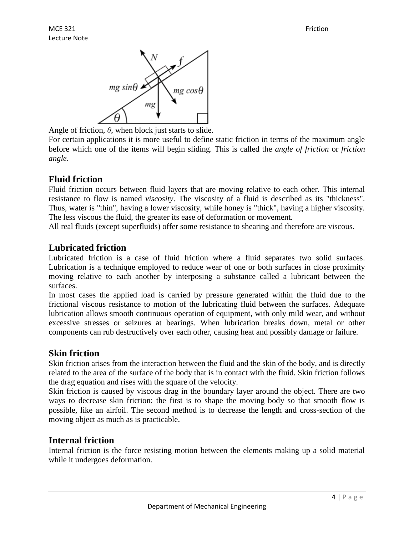

Angle of friction,  $\theta$ , when block just starts to slide.

For certain applications it is more useful to define static friction in terms of the maximum angle before which one of the items will begin sliding. This is called the *angle of friction* or *friction angle*.

## **Fluid friction**

Fluid friction occurs between [fluid](https://en.wikipedia.org/wiki/Fluid) layers that are moving relative to each other. This internal resistance to flow is named *[viscosity](https://en.wikipedia.org/wiki/Viscosity)*. The viscosity of a fluid is described as its "thickness". Thus, water is "thin", having a lower viscosity, while honey is "thick", having a higher viscosity. The less viscous the fluid, the greater its ease of deformation or movement.

All real fluids (except [superfluids\)](https://en.wikipedia.org/wiki/Superfluid) offer some resistance to shearing and therefore are viscous.

## **Lubricated friction**

Lubricated friction is a case of fluid friction where a fluid separates two solid surfaces. Lubrication is a technique employed to reduce wear of one or both surfaces in close proximity moving relative to each another by interposing a substance called a lubricant between the surfaces.

In most cases the applied load is carried by pressure generated within the fluid due to the frictional viscous resistance to motion of the lubricating fluid between the surfaces. Adequate lubrication allows smooth continuous operation of equipment, with only mild wear, and without excessive stresses or seizures at bearings. When lubrication breaks down, metal or other components can rub destructively over each other, causing heat and possibly damage or failure.

### **Skin friction**

Skin friction arises from the interaction between the fluid and the skin of the body, and is directly related to the area of the surface of the body that is in contact with the fluid. Skin friction follows the [drag equation](https://en.wikipedia.org/wiki/Drag_equation) and rises with the square of the velocity.

Skin friction is caused by viscous drag in the [boundary layer](https://en.wikipedia.org/wiki/Boundary_layer) around the object. There are two ways to decrease skin friction: the first is to shape the moving body so that smooth flow is possible, like an airfoil. The second method is to decrease the length and cross-section of the moving object as much as is practicable.

### **Internal friction**

Internal friction is the force resisting motion between the elements making up a solid material while it undergoes [deformation.](https://en.wikipedia.org/wiki/Deformation_%28engineering%29)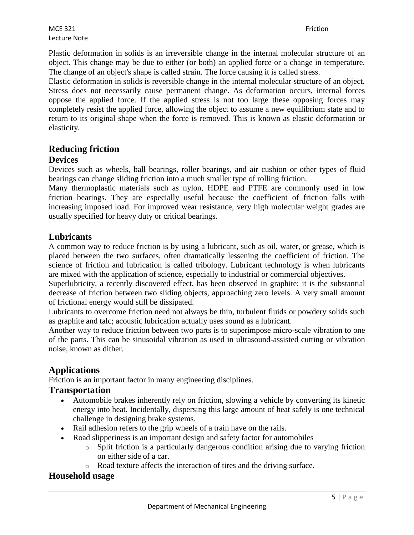MCE 321 Friction Lecture Note

[Plastic deformation](https://en.wikipedia.org/wiki/Deformation_%28engineering%29#Plastic_deformation) in solids is an irreversible change in the internal molecular structure of an object. This change may be due to either (or both) an applied force or a change in temperature. The change of an object's shape is called strain. The force causing it is called [stress.](https://en.wikipedia.org/wiki/Stress_%28mechanics%29)

[Elastic deformation](https://en.wikipedia.org/wiki/Elastic_deformation) in solids is reversible change in the internal molecular structure of an object. Stress does not necessarily cause permanent change. As deformation occurs, internal forces oppose the applied force. If the applied stress is not too large these opposing forces may completely resist the applied force, allowing the object to assume a new equilibrium state and to return to its original shape when the force is removed. This is known as elastic deformation or elasticity.

# **Reducing friction**

## **Devices**

Devices such as wheels, [ball bearings,](https://en.wikipedia.org/wiki/Ball_bearing) [roller bearings,](https://en.wikipedia.org/wiki/Roller_bearing) and air cushion or other types of [fluid](https://en.wikipedia.org/wiki/Fluid_bearing)  [bearings](https://en.wikipedia.org/wiki/Fluid_bearing) can change sliding friction into a much smaller type of rolling friction.

Many [thermoplastic](https://en.wikipedia.org/wiki/Thermoplastic) materials such as [nylon,](https://en.wikipedia.org/wiki/Nylon) [HDPE](https://en.wikipedia.org/wiki/HDPE) and PTFE are commonly used in low friction [bearings.](https://en.wikipedia.org/wiki/Bearing_%28mechanical%29) They are especially useful because the coefficient of friction falls with increasing imposed load. For improved wear resistance, very high [molecular weight](https://en.wikipedia.org/wiki/Molecular_weight) grades are usually specified for heavy duty or critical bearings.

## **Lubricants**

A common way to reduce friction is by using a [lubricant,](https://en.wikipedia.org/wiki/Lubricant) such as oil, water, or grease, which is placed between the two surfaces, often dramatically lessening the coefficient of friction. The science of friction and lubrication is called [tribology.](https://en.wikipedia.org/wiki/Tribology) Lubricant technology is when lubricants are mixed with the application of science, especially to industrial or commercial objectives.

Superlubricity, a recently discovered effect, has been observed in [graphite:](https://en.wikipedia.org/wiki/Graphite) it is the substantial decrease of friction between two sliding objects, approaching zero levels. A very small amount of frictional energy would still be dissipated.

Lubricants to overcome friction need not always be thin, turbulent fluids or powdery solids such as graphite and [talc;](https://en.wikipedia.org/wiki/Talc) [acoustic lubrication](https://en.wikipedia.org/wiki/Acoustic_lubrication) actually uses sound as a lubricant.

Another way to reduce friction between two parts is to superimpose micro-scale vibration to one of the parts. This can be sinusoidal vibration as used in ultrasound-assisted cutting or vibration noise, known as [dither.](https://en.wikipedia.org/wiki/Dither)

# **Applications**

Friction is an important factor in many [engineering](https://en.wikipedia.org/wiki/Engineering) disciplines.

### **Transportation**

- [Automobile brakes](https://en.wikipedia.org/wiki/Vehicle_brake) inherently rely on friction, slowing a vehicle by converting its kinetic energy into heat. Incidentally, dispersing this large amount of heat safely is one technical challenge in designing brake systems.
- [Rail adhesion](https://en.wikipedia.org/wiki/Rail_adhesion) refers to the grip wheels of a train have on the rails.
- [Road slipperiness](https://en.wikipedia.org/wiki/Road_slipperiness) is an important design and safety factor for automobiles
	- o [Split friction](https://en.wikipedia.org/wiki/Split_friction) is a particularly dangerous condition arising due to varying friction on either side of a car.
	- o [Road texture](https://en.wikipedia.org/wiki/Texture_%28roads%29) affects the interaction of tires and the driving surface.

# **Household usage**